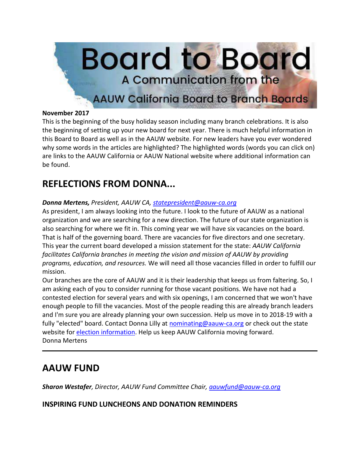

#### **November 2017**

This is the beginning of the busy holiday season including many branch celebrations. It is also the beginning of setting up your new board for next year. There is much helpful information in this Board to Board as well as in the AAUW website. For new leaders have you ever wondered why some words in the articles are highlighted? The highlighted words (words you can click on) are links to the AAUW California or AAUW National website where additional information can be found.

## **REFLECTIONS FROM DONNA...**

#### *Donna Mertens, President, AAUW CA, [statepresident@aauw-ca.org](mailto:statepresident@aauw-ca.org)*

As president, I am always looking into the future. I look to the future of AAUW as a national organization and we are searching for a new direction. The future of our state organization is also searching for where we fit in. This coming year we will have six vacancies on the board. That is half of the governing board. There are vacancies for five directors and one secretary. This year the current board developed a mission statement for the state: *AAUW California facilitates California branches in meeting the vision and mission of AAUW by providing programs, education, and resources.* We will need all those vacancies filled in order to fulfill our mission.

Our branches are the core of AAUW and it is their leadership that keeps us from faltering. So, I am asking each of you to consider running for those vacant positions. We have not had a contested election for several years and with six openings, I am concerned that we won't have enough people to fill the vacancies. Most of the people reading this are already branch leaders and I'm sure you are already planning your own succession. Help us move in to 2018-19 with a fully "elected" board. Contact Donna Lilly at [nominating@aauw-ca.org](mailto:nominating@aauw-ca.org) or check out the state website for election [information.](https://eur01.safelinks.protection.outlook.com/?url=https%3A%2F%2Fbor.aauw-ca.org%2Fsendy%2Fl%2Fv0NGBhI6dqEFRJAJ8q3qaA%2Fx9ZaZ8RJ7PId8F6WjHmm892A%2FYmj33bSB892EpVKBVsQbATgw&data=02%7C01%7Csandi.gabe%40hotmail.com%7C33612ce1b04d44874c2108d52490f7a8%7C84df9e7fe9f640afb435aaaaaaaaaaaa%7C1%7C0%7C636455127399601454&sdata=mZ6DHdEaNhxfHg1OiH3u3KIw9HdXjNCMj357HLtNI8A%3D&reserved=0) Help us keep AAUW California moving forward. Donna Mertens

### **AAUW FUND**

*Sharon Westafer, Director, AAUW Fund Committee Chair, [aauwfund@aauw-ca.org](mailto:aauwfund@aauw-ca.org)*

**INSPIRING FUND LUNCHEONS AND DONATION REMINDERS**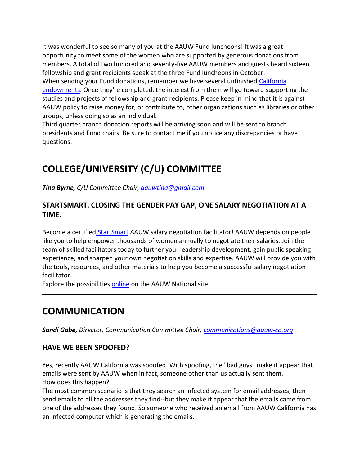It was wonderful to see so many of you at the AAUW Fund luncheons! It was a great opportunity to meet some of the women who are supported by generous donations from members. A total of two hundred and seventy-five AAUW members and guests heard sixteen fellowship and grant recipients speak at the three Fund luncheons in October. When sending your Fund donations, remember we have several unfinished [California](https://eur01.safelinks.protection.outlook.com/?url=https%3A%2F%2Fbor.aauw-ca.org%2Fsendy%2Fl%2Fv0NGBhI6dqEFRJAJ8q3qaA%2F8A5Y5DUan1V892ktFHE8NZKw%2FYmj33bSB892EpVKBVsQbATgw&data=02%7C01%7Csandi.gabe%40hotmail.com%7C33612ce1b04d44874c2108d52490f7a8%7C84df9e7fe9f640afb435aaaaaaaaaaaa%7C1%7C0%7C636455127399601454&sdata=ldhOqbXQUm8Cd2VQhTCbMdDZ5Tr9gk5S%2BizkuBvC0E8%3D&reserved=0)  [endowments.](https://eur01.safelinks.protection.outlook.com/?url=https%3A%2F%2Fbor.aauw-ca.org%2Fsendy%2Fl%2Fv0NGBhI6dqEFRJAJ8q3qaA%2F8A5Y5DUan1V892ktFHE8NZKw%2FYmj33bSB892EpVKBVsQbATgw&data=02%7C01%7Csandi.gabe%40hotmail.com%7C33612ce1b04d44874c2108d52490f7a8%7C84df9e7fe9f640afb435aaaaaaaaaaaa%7C1%7C0%7C636455127399601454&sdata=ldhOqbXQUm8Cd2VQhTCbMdDZ5Tr9gk5S%2BizkuBvC0E8%3D&reserved=0) Once they're completed, the interest from them will go toward supporting the studies and projects of fellowship and grant recipients. Please keep in mind that it is against AAUW policy to raise money for, or contribute to, other organizations such as libraries or other groups, unless doing so as an individual.

Third quarter branch donation reports will be arriving soon and will be sent to branch presidents and Fund chairs. Be sure to contact me if you notice any discrepancies or have questions.

# **COLLEGE/UNIVERSITY (C/U) COMMITTEE**

*Tina Byrne, C/U Committee Chair, [aauwtina@gmail.com](mailto:aauwtina@gmail.com)*

#### **STARTSMART. CLOSING THE GENDER PAY GAP, ONE SALARY NEGOTIATION AT A TIME.**

Become a certified [StartSmart](https://eur01.safelinks.protection.outlook.com/?url=https%3A%2F%2Fbor.aauw-ca.org%2Fsendy%2Fl%2Fv0NGBhI6dqEFRJAJ8q3qaA%2FLbF2dAvPrxEKAmI27LNEZw%2FYmj33bSB892EpVKBVsQbATgw&data=02%7C01%7Csandi.gabe%40hotmail.com%7C33612ce1b04d44874c2108d52490f7a8%7C84df9e7fe9f640afb435aaaaaaaaaaaa%7C1%7C0%7C636455127399601454&sdata=TVoyyCN6Cqd%2Fixc7ULgapMsGmyOp25IbqVtom9szHVc%3D&reserved=0) AAUW salary negotiation facilitator! AAUW depends on people like you to help empower thousands of women annually to negotiate their salaries. Join the team of skilled facilitators today to further your leadership development, gain public speaking experience, and sharpen your own negotiation skills and expertise. AAUW will provide you with the tools, resources, and other materials to help you become a successful salary negotiation facilitator.

Explore the possibilities [online](https://eur01.safelinks.protection.outlook.com/?url=https%3A%2F%2Fbor.aauw-ca.org%2Fsendy%2Fl%2Fv0NGBhI6dqEFRJAJ8q3qaA%2FLbF2dAvPrxEKAmI27LNEZw%2FYmj33bSB892EpVKBVsQbATgw&data=02%7C01%7Csandi.gabe%40hotmail.com%7C33612ce1b04d44874c2108d52490f7a8%7C84df9e7fe9f640afb435aaaaaaaaaaaa%7C1%7C0%7C636455127399601454&sdata=TVoyyCN6Cqd%2Fixc7ULgapMsGmyOp25IbqVtom9szHVc%3D&reserved=0) on the AAUW National site.

## **COMMUNICATION**

*Sandi Gabe, Director, Communication Committee Chair, [communications@aauw-ca.org](mailto:Communications@aauw-ca.org)*

#### **HAVE WE BEEN SPOOFED?**

Yes, recently AAUW California was spoofed. With spoofing, the "bad guys" make it appear that emails were sent by AAUW when in fact, someone other than us actually sent them. How does this happen?

The most common scenario is that they search an infected system for email addresses, then send emails to all the addresses they find--but they make it appear that the emails came from one of the addresses they found. So someone who received an email from AAUW California has an infected computer which is generating the emails.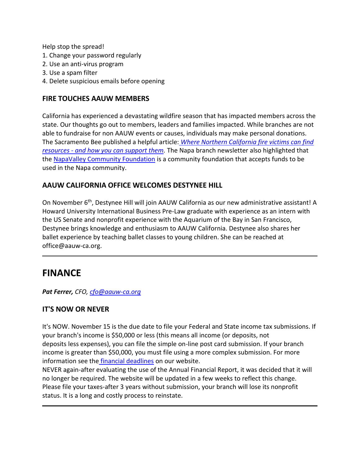Help stop the spread!

- 1. Change your password regularly
- 2. Use an anti-virus program
- 3. Use a spam filter
- 4. Delete suspicious emails before opening

#### **FIRE TOUCHES AAUW MEMBERS**

California has experienced a devastating wildfire season that has impacted members across the state. Our thoughts go out to members, leaders and families impacted. While branches are not able to fundraise for non AAUW events or causes, individuals may make personal donations. The Sacramento Bee published a helpful article: *[Where Northern California fire victims can find](https://eur01.safelinks.protection.outlook.com/?url=https%3A%2F%2Fbor.aauw-ca.org%2Fsendy%2Fl%2Fv0NGBhI6dqEFRJAJ8q3qaA%2F9Nn1PQU0ShkmrU8tzTDfSw%2FYmj33bSB892EpVKBVsQbATgw&data=02%7C01%7Csandi.gabe%40hotmail.com%7C33612ce1b04d44874c2108d52490f7a8%7C84df9e7fe9f640afb435aaaaaaaaaaaa%7C1%7C0%7C636455127399601454&sdata=%2FwMjDeu7hTHaAwdkCHrnEmITizYqtkkNp%2BZfpa0k8E4%3D&reserved=0)  resources - [and how you can support them.](https://eur01.safelinks.protection.outlook.com/?url=https%3A%2F%2Fbor.aauw-ca.org%2Fsendy%2Fl%2Fv0NGBhI6dqEFRJAJ8q3qaA%2F9Nn1PQU0ShkmrU8tzTDfSw%2FYmj33bSB892EpVKBVsQbATgw&data=02%7C01%7Csandi.gabe%40hotmail.com%7C33612ce1b04d44874c2108d52490f7a8%7C84df9e7fe9f640afb435aaaaaaaaaaaa%7C1%7C0%7C636455127399601454&sdata=%2FwMjDeu7hTHaAwdkCHrnEmITizYqtkkNp%2BZfpa0k8E4%3D&reserved=0)* The Napa branch newsletter also highlighted that the [NapaValley Community Foundation](https://eur01.safelinks.protection.outlook.com/?url=https%3A%2F%2Fbor.aauw-ca.org%2Fsendy%2Fl%2Fv0NGBhI6dqEFRJAJ8q3qaA%2FCdcMDuI2631v892ksIMqBk892w%2FYmj33bSB892EpVKBVsQbATgw&data=02%7C01%7Csandi.gabe%40hotmail.com%7C33612ce1b04d44874c2108d52490f7a8%7C84df9e7fe9f640afb435aaaaaaaaaaaa%7C1%7C0%7C636455127399601454&sdata=Zkwtwg3TfM4THdN8t82guUQK6b6hKCNg8sGiLT4TOg8%3D&reserved=0) is a community foundation that accepts funds to be used in the Napa community.

#### **AAUW CALIFORNIA OFFICE WELCOMES DESTYNEE HILL**

On November 6th, Destynee Hill will join AAUW California as our new administrative assistant! A Howard University International Business Pre-Law graduate with experience as an intern with the US Senate and nonprofit experience with the Aquarium of the Bay in San Francisco, Destynee brings knowledge and enthusiasm to AAUW California. Destynee also shares her ballet experience by teaching ballet classes to young children. She can be reached at office@aauw-ca.org.

### **FINANCE**

*Pat Ferrer, CFO, [cfo@aauw-ca.org](mailto:cfo@aauw-ca.org)*

#### **IT'S NOW OR NEVER**

It's NOW. November 15 is the due date to file your Federal and State income tax submissions. If your branch's income is \$50,000 or less (this means all income (or deposits, not deposits less expenses), you can file the simple on-line post card submission. If your branch income is greater than \$50,000, you must file using a more complex submission. For more information see the [financial deadlines](https://eur01.safelinks.protection.outlook.com/?url=https%3A%2F%2Fbor.aauw-ca.org%2Fsendy%2Fl%2Fv0NGBhI6dqEFRJAJ8q3qaA%2FFpELDlHmv73XU35NpIvLTg%2FYmj33bSB892EpVKBVsQbATgw&data=02%7C01%7Csandi.gabe%40hotmail.com%7C33612ce1b04d44874c2108d52490f7a8%7C84df9e7fe9f640afb435aaaaaaaaaaaa%7C1%7C0%7C636455127399601454&sdata=rw6VYIrtFt1EQTAz6Ix%2FfFcxT%2B2PX8uL5OsIrlwWgm0%3D&reserved=0) on our website.

NEVER again-after evaluating the use of the Annual Financial Report, it was decided that it will no longer be required. The website will be updated in a few weeks to reflect this change. Please file your taxes-after 3 years without submission, your branch will lose its nonprofit status. It is a long and costly process to reinstate.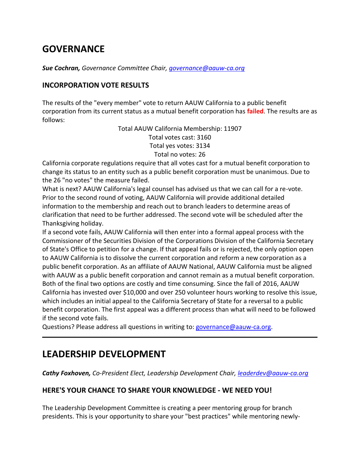## **GOVERNANCE**

*Sue Cochran, Governance Committee Chair, [governance@aauw-ca.org](mailto:governance@aauw-ca.org)*

#### **INCORPORATION VOTE RESULTS**

The results of the "every member" vote to return AAUW California to a public benefit corporation from its current status as a mutual benefit corporation has **failed**. The results are as follows:

> Total AAUW California Membership: 11907 Total votes cast: 3160 Total yes votes: 3134 Total no votes: 26

California corporate regulations require that all votes cast for a mutual benefit corporation to change its status to an entity such as a public benefit corporation must be unanimous. Due to the 26 "no votes" the measure failed.

What is next? AAUW California's legal counsel has advised us that we can call for a re-vote. Prior to the second round of voting, AAUW California will provide additional detailed information to the membership and reach out to branch leaders to determine areas of clarification that need to be further addressed. The second vote will be scheduled after the Thanksgiving holiday.

If a second vote fails, AAUW California will then enter into a formal appeal process with the Commissioner of the Securities Division of the Corporations Division of the California Secretary of State's Office to petition for a change. If that appeal fails or is rejected, the only option open to AAUW California is to dissolve the current corporation and reform a new corporation as a public benefit corporation. As an affiliate of AAUW National, AAUW California must be aligned with AAUW as a public benefit corporation and cannot remain as a mutual benefit corporation. Both of the final two options are costly and time consuming. Since the fall of 2016, AAUW California has invested over \$10,000 and over 250 volunteer hours working to resolve this issue, which includes an initial appeal to the California Secretary of State for a reversal to a public benefit corporation. The first appeal was a different process than what will need to be followed if the second vote fails.

Questions? Please address all questions in writing to: [governance@aauw-ca.org.](mailto:governance@aauw-ca.org)

### **LEADERSHIP DEVELOPMENT**

*Cathy Foxhoven, Co-President Elect, Leadership Development Chair, [leaderdev@aauw-ca.org](mailto:leaderdev@aauw-ca.org)*

#### **HERE'S YOUR CHANCE TO SHARE YOUR KNOWLEDGE - WE NEED YOU!**

The Leadership Development Committee is creating a peer mentoring group for branch presidents. This is your opportunity to share your "best practices" while mentoring newly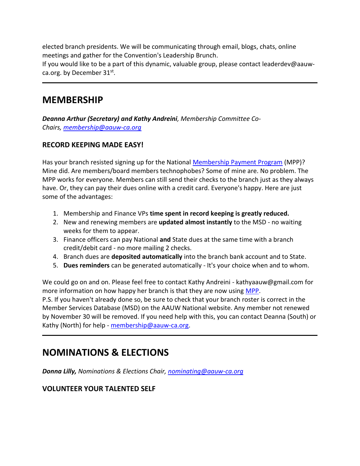elected branch presidents. We will be communicating through email, blogs, chats, online meetings and gather for the Convention's Leadership Brunch.

If you would like to be a part of this dynamic, valuable group, please contact leaderdev@aauwca.org. by December 31st.

### **MEMBERSHIP**

*Deanna Arthur (Secretary) and Kathy Andreini, Membership Committee Co-Chairs, [membership@aauw-ca.org](mailto:membership@aauw-ca.org)*

#### **RECORD KEEPING MADE EASY!**

Has your branch resisted signing up for the National [Membership Payment Program](https://eur01.safelinks.protection.outlook.com/?url=https%3A%2F%2Fbor.aauw-ca.org%2Fsendy%2Fl%2Fv0NGBhI6dqEFRJAJ8q3qaA%2FZKrEPkp8892vFsu4SIG2zeAA%2FYmj33bSB892EpVKBVsQbATgw&data=02%7C01%7Csandi.gabe%40hotmail.com%7C33612ce1b04d44874c2108d52490f7a8%7C84df9e7fe9f640afb435aaaaaaaaaaaa%7C1%7C0%7C636455127399601454&sdata=q1jZeUmbCsSZY82SZGkA0B0k6xKzDkQyTea7IuqfARs%3D&reserved=0) (MPP)? Mine did. Are members/board members technophobes? Some of mine are. No problem. The MPP works for everyone. Members can still send their checks to the branch just as they always have. Or, they can pay their dues online with a credit card. Everyone's happy. Here are just some of the advantages:

- 1. Membership and Finance VPs **time spent in record keeping is greatly reduced.**
- 2. New and renewing members are **updated almost instantly** to the MSD no waiting weeks for them to appear.
- 3. Finance officers can pay National **and** State dues at the same time with a branch credit/debit card - no more mailing 2 checks.
- 4. Branch dues are **deposited automatically** into the branch bank account and to State.
- 5. **Dues reminders** can be generated automatically It's your choice when and to whom.

We could go on and on. Please feel free to contact Kathy Andreini - kathyaauw@gmail.com for more information on how happy her branch is that they are now using [MPP.](https://eur01.safelinks.protection.outlook.com/?url=https%3A%2F%2Fbor.aauw-ca.org%2Fsendy%2Fl%2Fv0NGBhI6dqEFRJAJ8q3qaA%2FZKrEPkp8892vFsu4SIG2zeAA%2FYmj33bSB892EpVKBVsQbATgw&data=02%7C01%7Csandi.gabe%40hotmail.com%7C33612ce1b04d44874c2108d52490f7a8%7C84df9e7fe9f640afb435aaaaaaaaaaaa%7C1%7C0%7C636455127399601454&sdata=q1jZeUmbCsSZY82SZGkA0B0k6xKzDkQyTea7IuqfARs%3D&reserved=0)

P.S. If you haven't already done so, be sure to check that your branch roster is correct in the Member Services Database (MSD) on the AAUW National website. Any member not renewed by November 30 will be removed. If you need help with this, you can contact Deanna (South) or Kathy (North) for help - [membership@aauw-ca.org.](mailto:membership@aauw-ca.org)

## **NOMINATIONS & ELECTIONS**

*Donna Lilly, Nominations & Elections Chair, [nominating@aauw-ca.org](mailto:nominating@aauw-ca.org)*

#### **VOLUNTEER YOUR TALENTED SELF**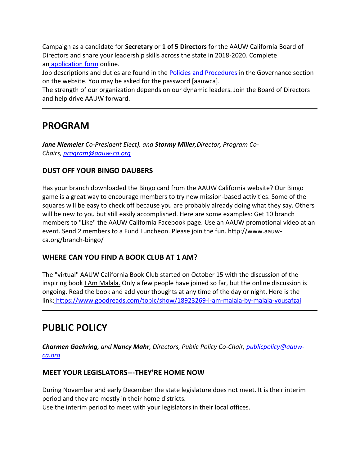Campaign as a candidate for **Secretary** or **1 of 5 Directors** for the AAUW California Board of Directors and share your leadership skills across the state in 2018-2020. Complete an [application form](https://eur01.safelinks.protection.outlook.com/?url=https%3A%2F%2Fbor.aauw-ca.org%2Fsendy%2Fl%2Fv0NGBhI6dqEFRJAJ8q3qaA%2FMxmjOh2fGIkHMDEGjDiHXg%2FYmj33bSB892EpVKBVsQbATgw&data=02%7C01%7Csandi.gabe%40hotmail.com%7C33612ce1b04d44874c2108d52490f7a8%7C84df9e7fe9f640afb435aaaaaaaaaaaa%7C1%7C0%7C636455127399601454&sdata=HqW%2FT5aS59WqyiSJDeD3L%2F65RzLHuukOsbII1zO7ttU%3D&reserved=0) online.

Job descriptions and duties are found in the [Policies and Procedures](https://eur01.safelinks.protection.outlook.com/?url=https%3A%2F%2Fbor.aauw-ca.org%2Fsendy%2Fl%2Fv0NGBhI6dqEFRJAJ8q3qaA%2FvNjPMazIW3JOloQQ7I11pg%2FYmj33bSB892EpVKBVsQbATgw&data=02%7C01%7Csandi.gabe%40hotmail.com%7C33612ce1b04d44874c2108d52490f7a8%7C84df9e7fe9f640afb435aaaaaaaaaaaa%7C1%7C0%7C636455127399601454&sdata=%2BQNskvbDTZQIktzp0kPyfx3sr%2Bcxt%2FkOVrPFmrRTEkE%3D&reserved=0) in the Governance section on the website. You may be asked for the password [aauwca].

The strength of our organization depends on our dynamic leaders. Join the Board of Directors and help drive AAUW forward.

### **PROGRAM**

*Jane Niemeier Co-President Elect), and Stormy Miller,Director, Program Co-Chairs, [program@aauw-ca.org](mailto:program@aauw-ca.org)*

#### **DUST OFF YOUR BINGO DAUBERS**

Has your branch downloaded the Bingo card from the AAUW California website? Our Bingo game is a great way to encourage members to try new mission-based activities. Some of the squares will be easy to check off because you are probably already doing what they say. Others will be new to you but still easily accomplished. Here are some examples: Get 10 branch members to "Like" the AAUW California Facebook page. Use an AAUW promotional video at an event. Send 2 members to a Fund Luncheon. Please join the fun. http://www.aauwca.org/branch-bingo/

#### **WHERE CAN YOU FIND A BOOK CLUB AT 1 AM?**

The "virtual" AAUW California Book Club started on October 15 with the discussion of the inspiring book I Am Malala. Only a few people have joined so far, but the online discussion is ongoing. Read the book and add your thoughts at any time of the day or night. Here is the link: [https://www.goodreads.com/topic/show/18923269-i-am-malala-by-malala-yousafzai](https://eur01.safelinks.protection.outlook.com/?url=https%3A%2F%2Fbor.aauw-ca.org%2Fsendy%2Fl%2Fv0NGBhI6dqEFRJAJ8q3qaA%2FWrXjZrny892t5QMnnOuKAgLQ%2FYmj33bSB892EpVKBVsQbATgw&data=02%7C01%7Csandi.gabe%40hotmail.com%7C33612ce1b04d44874c2108d52490f7a8%7C84df9e7fe9f640afb435aaaaaaaaaaaa%7C1%7C0%7C636455127399601454&sdata=oCod1HmvsdgLfeyOsgQS9Fl9HO8TD6lQZiyWcJXiLSo%3D&reserved=0)

## **PUBLIC POLICY**

*Charmen Goehring, and Nancy Mahr, Directors, Public Policy Co-Chair, [publicpolicy@aauw](mailto:publicpolicy@aauw-ca.org)[ca.org](mailto:publicpolicy@aauw-ca.org)*

#### **MEET YOUR LEGISLATORS---THEY'RE HOME NOW**

During November and early December the state legislature does not meet. It is their interim period and they are mostly in their home districts.

Use the interim period to meet with your legislators in their local offices.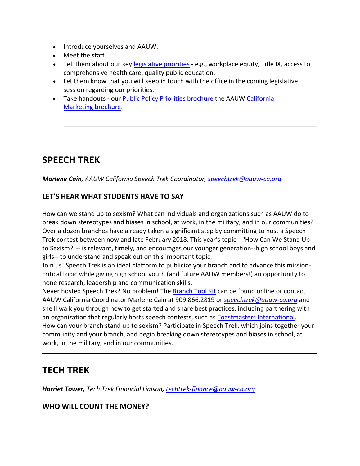- Introduce yourselves and AAUW.
- Meet the staff.
- Tell them about our key [legislative](https://eur01.safelinks.protection.outlook.com/?url=https%3A%2F%2Fbor.aauw-ca.org%2Fsendy%2Fl%2Fv0NGBhI6dqEFRJAJ8q3qaA%2FARqkkOxnqlarZNTBS892zRzQ%2FYmj33bSB892EpVKBVsQbATgw&data=02%7C01%7Csandi.gabe%40hotmail.com%7C33612ce1b04d44874c2108d52490f7a8%7C84df9e7fe9f640afb435aaaaaaaaaaaa%7C1%7C0%7C636455127399601454&sdata=eK35woilRHDQRULpcQlNa0TMRkqdxaiWEPIJ1k9I9Ek%3D&reserved=0) priorities e.g., workplace equity, Title IX, access to comprehensive health care, quality public education.
- Let them know that you will keep in touch with the office in the coming legislative session regarding our priorities.
- Take handouts our [Public Policy Priorities brochure](https://eur01.safelinks.protection.outlook.com/?url=https%3A%2F%2Fbor.aauw-ca.org%2Fsendy%2Fl%2Fv0NGBhI6dqEFRJAJ8q3qaA%2FsjkacnXhx5SoWYS1NAAhXw%2FYmj33bSB892EpVKBVsQbATgw&data=02%7C01%7Csandi.gabe%40hotmail.com%7C33612ce1b04d44874c2108d52490f7a8%7C84df9e7fe9f640afb435aaaaaaaaaaaa%7C1%7C0%7C636455127399601454&sdata=AcDlN5g0MwdbxTTI04YIHD7jTXPjn1W%2FWHF5Mar%2FO58%3D&reserved=0) the AAUW [California](https://eur01.safelinks.protection.outlook.com/?url=https%3A%2F%2Fbor.aauw-ca.org%2Fsendy%2Fl%2Fv0NGBhI6dqEFRJAJ8q3qaA%2FRLFGR763kfDeH892ZsdkMZQpOA%2FYmj33bSB892EpVKBVsQbATgw&data=02%7C01%7Csandi.gabe%40hotmail.com%7C33612ce1b04d44874c2108d52490f7a8%7C84df9e7fe9f640afb435aaaaaaaaaaaa%7C1%7C0%7C636455127399601454&sdata=8i8AQJ%2FRlH3%2Fp%2FVaLu9UEsRhiG44ExhvW1E9wyewTaw%3D&reserved=0)  [Marketing](https://eur01.safelinks.protection.outlook.com/?url=https%3A%2F%2Fbor.aauw-ca.org%2Fsendy%2Fl%2Fv0NGBhI6dqEFRJAJ8q3qaA%2FRLFGR763kfDeH892ZsdkMZQpOA%2FYmj33bSB892EpVKBVsQbATgw&data=02%7C01%7Csandi.gabe%40hotmail.com%7C33612ce1b04d44874c2108d52490f7a8%7C84df9e7fe9f640afb435aaaaaaaaaaaa%7C1%7C0%7C636455127399601454&sdata=8i8AQJ%2FRlH3%2Fp%2FVaLu9UEsRhiG44ExhvW1E9wyewTaw%3D&reserved=0) brochure.

## **SPEECH TREK**

*Marlene Cain, AAUW California Speech Trek Coordinator, [speechtrek@aauw-ca.org](mailto:speechtrek@aauw-ca.org)*

#### **LET'S HEAR WHAT STUDENTS HAVE TO SAY**

How can we stand up to sexism? What can individuals and organizations such as AAUW do to break down stereotypes and biases in school, at work, in the military, and in our communities? Over a dozen branches have already taken a significant step by committing to host a Speech Trek contest between now and late February 2018. This year's topic-- "How Can We Stand Up to Sexism?"-- is relevant, timely, and encourages our younger generation--high school boys and girls-- to understand and speak out on this important topic.

Join us! Speech Trek is an ideal platform to publicize your branch and to advance this missioncritical topic while giving high school youth (and future AAUW members!) an opportunity to hone research, leadership and communication skills.

Never hosted Speech Trek? No problem! The [Branch Tool Kit](https://eur01.safelinks.protection.outlook.com/?url=https%3A%2F%2Fbor.aauw-ca.org%2Fsendy%2Fl%2Fv0NGBhI6dqEFRJAJ8q3qaA%2FuKN892c763UTXA7S7juyQDtthA%2FYmj33bSB892EpVKBVsQbATgw&data=02%7C01%7Csandi.gabe%40hotmail.com%7C33612ce1b04d44874c2108d52490f7a8%7C84df9e7fe9f640afb435aaaaaaaaaaaa%7C1%7C0%7C636455127399601454&sdata=FlGjRg2EBDMk4%2FaSXJkVMLLdt02hoZxXPzJiOtJWsNI%3D&reserved=0) can be found online or contact AAUW California Coordinator Marlene Cain at 909.866.2819 or *[speechtrek@aauw-ca.org](mailto:orspeechtrek@aauw-ca.org)* and she'll walk you through how to get started and share best practices, including partnering with an organization that regularly hosts speech contests, such as [Toastmasters International.](https://eur01.safelinks.protection.outlook.com/?url=https%3A%2F%2Fbor.aauw-ca.org%2Fsendy%2Fl%2Fv0NGBhI6dqEFRJAJ8q3qaA%2FHy1rl3KjY4Mm5qT67gtlqg%2FYmj33bSB892EpVKBVsQbATgw&data=02%7C01%7Csandi.gabe%40hotmail.com%7C33612ce1b04d44874c2108d52490f7a8%7C84df9e7fe9f640afb435aaaaaaaaaaaa%7C1%7C0%7C636455127399601454&sdata=QsQ0cDxEgZ%2BFWGJ39B1mjkObrt2%2FHgG7g0CK9%2Bb71s4%3D&reserved=0) How can your branch stand up to sexism? Participate in Speech Trek, which joins together your community and your branch, and begin breaking down stereotypes and biases in school, at work, in the military, and in our communities.

### **TECH TREK**

*Harriet Tower, Tech Trek Financial Liaison, [techtrek-finance@aauw-ca.org](mailto:techtrek-finance@aauw-ca.org)*

#### **WHO WILL COUNT THE MONEY?**